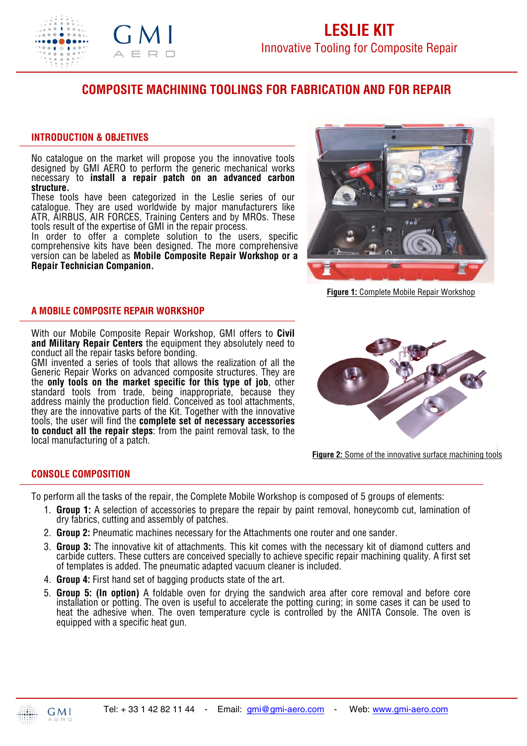

# **COMPOSITE MACHINING TOOLINGS FOR FABRICATION AND FOR REPAIR**

## **INTRODUCTION & OBJETIVES**

No catalogue on the market will propose you the innovative tools designed by GMI AERO to perform the generic mechanical works necessary to **install a repair patch on an advanced carbon structure.**

These tools have been categorized in the Leslie series of our catalogue. They are used worldwide by major manufacturers like ATR, AIRBUS, AIR FORCES, Training Centers and by MROs. These tools result of the expertise of GMI in the repair process.

In order to offer a complete solution to the users, specific comprehensive kits have been designed. The more comprehensive version can be labeled as **Mobile Composite Repair Workshop or a Repair Technician Companion.**



**Figure 1:** Complete Mobile Repair Workshop

## **A MOBILE COMPOSITE REPAIR WORKSHOP**

With our Mobile Composite Repair Workshop, GMI offers to **Civil and Military Repair Centers** the equipment they absolutely need to conduct all the repair tasks before bonding.

GMI invented a series of tools that allows the realization of all the Generic Repair Works on advanced composite structures. They are the **only tools on the market specific for this type of job**, other standard tools from trade, being inappropriate, because they address mainly the production field. Conceived as tool attachments, they are the innovative parts of the Kit. Together with the innovative tools, the user will find the **complete set of necessary accessories to conduct all the repair steps**: from the paint removal task, to the local manufacturing of a patch.



**Figure 2:** Some of the innovative surface machining tools

# **CONSOLE COMPOSITION**

To perform all the tasks of the repair, the Complete Mobile Workshop is composed of 5 groups of elements:

- 1. **Group 1:** A selection of accessories to prepare the repair by paint removal, honeycomb cut, lamination of dry fabrics, cutting and assembly of patches.
- 2. **Group 2:** Pneumatic machines necessary for the Attachments one router and one sander.
- 3. **Group 3:** The innovative kit of attachments. This kit comes with the necessary kit of diamond cutters and carbide cutters. These cutters are conceived specially to achieve specific repair machining quality. A first set of templates is added. The pneumatic adapted vacuum cleaner is included.
- 4. **Group 4:** First hand set of bagging products state of the art.
- 5. **Group 5: (In option)** A foldable oven for drying the sandwich area after core removal and before core installation or potting. The oven is useful to accelerate the potting curing; in some cases it can be used to heat the adhesive when. The oven temperature cycle is controlled by the ANITA Console. The oven is equipped with a specific heat gun.